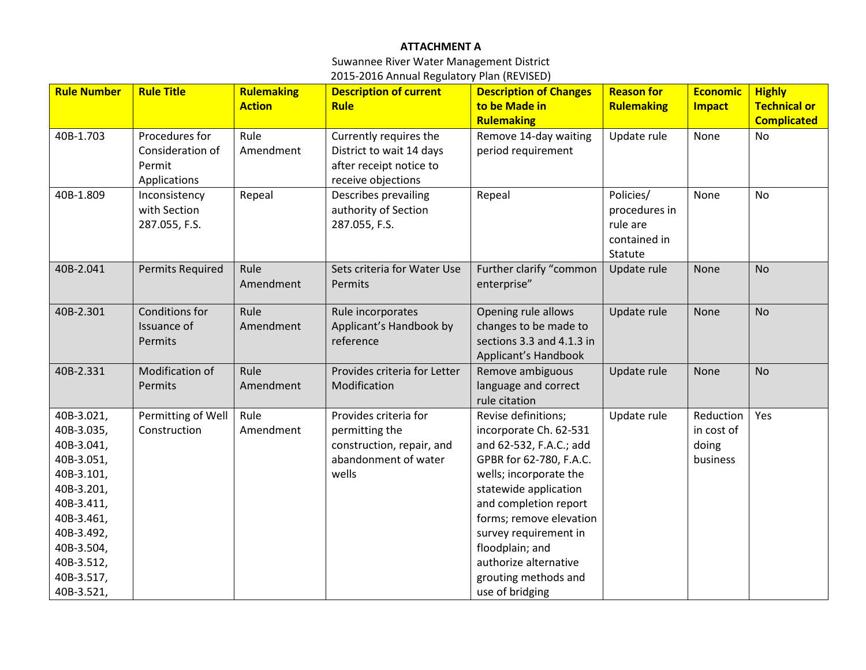## **ATTACHMENT A**

Suwannee River Water Management District 2015-2016 Annual Regulatory Plan (REVISED)

| <b>Rule Number</b> | <b>Rule Title</b>                  | <b>Rulemaking</b> | <b>Description of current</b>                | <b>Description of Changes</b>                      | <b>Reason for</b> | <b>Economic</b> | <b>Highly</b>       |
|--------------------|------------------------------------|-------------------|----------------------------------------------|----------------------------------------------------|-------------------|-----------------|---------------------|
|                    |                                    | <b>Action</b>     | <b>Rule</b>                                  | to be Made in                                      | <b>Rulemaking</b> | <b>Impact</b>   | <b>Technical or</b> |
|                    |                                    |                   |                                              | <b>Rulemaking</b>                                  |                   |                 | <b>Complicated</b>  |
| 40B-1.703          | Procedures for                     | Rule              | Currently requires the                       | Remove 14-day waiting                              | Update rule       | None            | <b>No</b>           |
|                    | Consideration of                   | Amendment         | District to wait 14 days                     | period requirement                                 |                   |                 |                     |
|                    | Permit                             |                   | after receipt notice to                      |                                                    |                   |                 |                     |
|                    | Applications                       |                   | receive objections                           |                                                    |                   |                 |                     |
| 40B-1.809          | Inconsistency                      | Repeal            | Describes prevailing                         | Repeal                                             | Policies/         | None            | <b>No</b>           |
|                    | with Section                       |                   | authority of Section                         |                                                    | procedures in     |                 |                     |
|                    | 287.055, F.S.                      |                   | 287.055, F.S.                                |                                                    | rule are          |                 |                     |
|                    |                                    |                   |                                              |                                                    | contained in      |                 |                     |
|                    |                                    |                   |                                              |                                                    | Statute           |                 |                     |
| 40B-2.041          | <b>Permits Required</b>            | Rule              | Sets criteria for Water Use                  | Further clarify "common                            | Update rule       | None            | <b>No</b>           |
|                    |                                    | Amendment         | Permits                                      | enterprise"                                        |                   |                 |                     |
|                    |                                    |                   |                                              |                                                    |                   |                 |                     |
| 40B-2.301          | Conditions for                     | Rule              | Rule incorporates                            | Opening rule allows                                | Update rule       | None            | <b>No</b>           |
|                    | Issuance of                        | Amendment         | Applicant's Handbook by<br>reference         | changes to be made to<br>sections 3.3 and 4.1.3 in |                   |                 |                     |
|                    | Permits                            |                   |                                              |                                                    |                   |                 |                     |
|                    |                                    |                   |                                              | Applicant's Handbook                               |                   |                 |                     |
| 40B-2.331          | Modification of                    | Rule              | Provides criteria for Letter<br>Modification | Remove ambiguous                                   | Update rule       | None            | <b>No</b>           |
|                    | Permits                            | Amendment         |                                              | language and correct<br>rule citation              |                   |                 |                     |
| 40B-3.021,         |                                    | Rule              | Provides criteria for                        |                                                    | Update rule       | Reduction       | Yes                 |
| 40B-3.035,         | Permitting of Well<br>Construction | Amendment         | permitting the                               | Revise definitions;<br>incorporate Ch. 62-531      |                   | in cost of      |                     |
| 40B-3.041,         |                                    |                   | construction, repair, and                    | and 62-532, F.A.C.; add                            |                   | doing           |                     |
| 40B-3.051,         |                                    |                   | abandonment of water                         | GPBR for 62-780, F.A.C.                            |                   | business        |                     |
| 40B-3.101,         |                                    |                   | wells                                        | wells; incorporate the                             |                   |                 |                     |
| 40B-3.201,         |                                    |                   |                                              | statewide application                              |                   |                 |                     |
| 40B-3.411,         |                                    |                   |                                              | and completion report                              |                   |                 |                     |
| 40B-3.461,         |                                    |                   |                                              | forms; remove elevation                            |                   |                 |                     |
| 40B-3.492,         |                                    |                   |                                              | survey requirement in                              |                   |                 |                     |
| 40B-3.504,         |                                    |                   |                                              | floodplain; and                                    |                   |                 |                     |
| 40B-3.512,         |                                    |                   |                                              | authorize alternative                              |                   |                 |                     |
| 40B-3.517,         |                                    |                   |                                              | grouting methods and                               |                   |                 |                     |
| 40B-3.521,         |                                    |                   |                                              | use of bridging                                    |                   |                 |                     |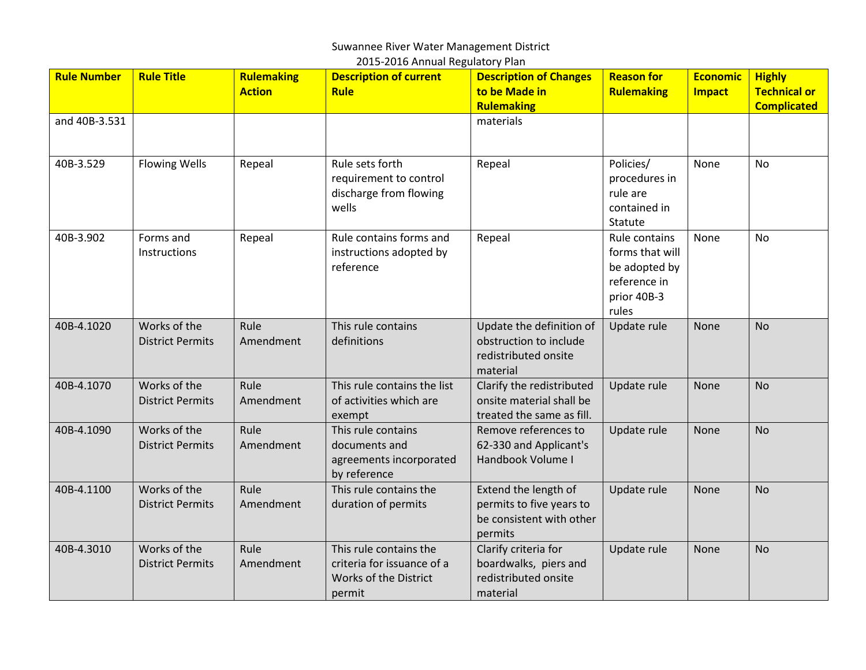### Suwannee River Water Management District

| 2015-2016 Annual Regulatory Plan |                                         |                                    |                                                                                         |                                                                                         |                                                                                           |                                  |                                                            |  |
|----------------------------------|-----------------------------------------|------------------------------------|-----------------------------------------------------------------------------------------|-----------------------------------------------------------------------------------------|-------------------------------------------------------------------------------------------|----------------------------------|------------------------------------------------------------|--|
| <b>Rule Number</b>               | <b>Rule Title</b>                       | <b>Rulemaking</b><br><b>Action</b> | <b>Description of current</b><br><b>Rule</b>                                            | <b>Description of Changes</b><br>to be Made in<br><b>Rulemaking</b>                     | <b>Reason for</b><br>Rulemaking                                                           | <b>Economic</b><br><b>Impact</b> | <b>Highly</b><br><b>Technical or</b><br><b>Complicated</b> |  |
| and 40B-3.531                    |                                         |                                    |                                                                                         | materials                                                                               |                                                                                           |                                  |                                                            |  |
| 40B-3.529                        | <b>Flowing Wells</b>                    | Repeal                             | Rule sets forth<br>requirement to control<br>discharge from flowing<br>wells            | Repeal                                                                                  | Policies/<br>procedures in<br>rule are<br>contained in<br>Statute                         | None                             | <b>No</b>                                                  |  |
| 40B-3.902                        | Forms and<br>Instructions               | Repeal                             | Rule contains forms and<br>instructions adopted by<br>reference                         | Repeal                                                                                  | Rule contains<br>forms that will<br>be adopted by<br>reference in<br>prior 40B-3<br>rules | None                             | <b>No</b>                                                  |  |
| 40B-4.1020                       | Works of the<br><b>District Permits</b> | Rule<br>Amendment                  | This rule contains<br>definitions                                                       | Update the definition of<br>obstruction to include<br>redistributed onsite<br>material  | Update rule                                                                               | <b>None</b>                      | <b>No</b>                                                  |  |
| 40B-4.1070                       | Works of the<br><b>District Permits</b> | Rule<br>Amendment                  | This rule contains the list<br>of activities which are<br>exempt                        | Clarify the redistributed<br>onsite material shall be<br>treated the same as fill.      | Update rule                                                                               | <b>None</b>                      | <b>No</b>                                                  |  |
| 40B-4.1090                       | Works of the<br><b>District Permits</b> | Rule<br>Amendment                  | This rule contains<br>documents and<br>agreements incorporated<br>by reference          | Remove references to<br>62-330 and Applicant's<br>Handbook Volume I                     | Update rule                                                                               | <b>None</b>                      | <b>No</b>                                                  |  |
| 40B-4.1100                       | Works of the<br><b>District Permits</b> | Rule<br>Amendment                  | This rule contains the<br>duration of permits                                           | Extend the length of<br>permits to five years to<br>be consistent with other<br>permits | Update rule                                                                               | None                             | <b>No</b>                                                  |  |
| 40B-4.3010                       | Works of the<br><b>District Permits</b> | Rule<br>Amendment                  | This rule contains the<br>criteria for issuance of a<br>Works of the District<br>permit | Clarify criteria for<br>boardwalks, piers and<br>redistributed onsite<br>material       | Update rule                                                                               | <b>None</b>                      | <b>No</b>                                                  |  |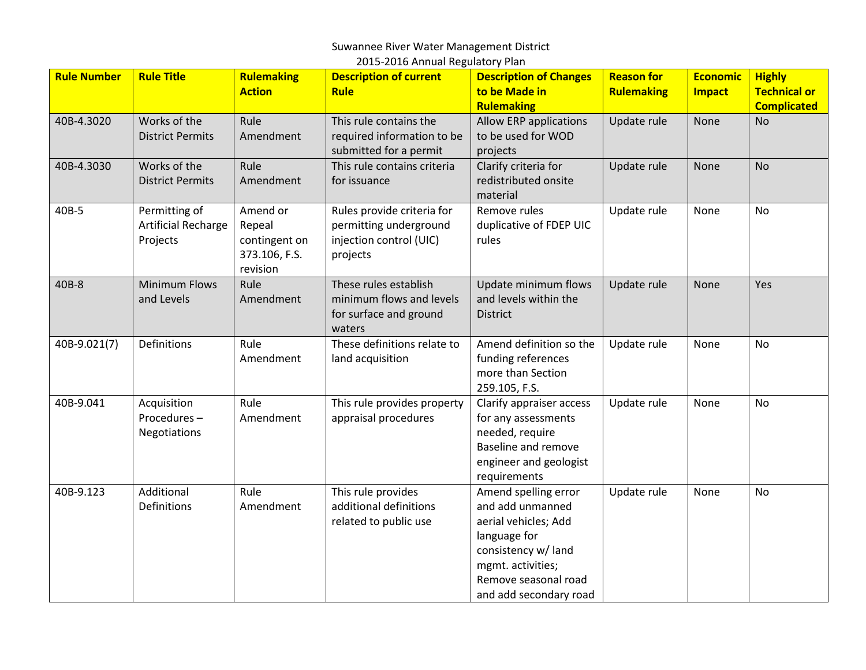# Suwannee River Water Management District

| 2015-2016 Annual Regulatory Plan |                                                         |                                                                  |                                                                                             |                                                                                                                                                                                |                                 |                                  |                                                            |
|----------------------------------|---------------------------------------------------------|------------------------------------------------------------------|---------------------------------------------------------------------------------------------|--------------------------------------------------------------------------------------------------------------------------------------------------------------------------------|---------------------------------|----------------------------------|------------------------------------------------------------|
| <b>Rule Number</b>               | <b>Rule Title</b>                                       | <b>Rulemaking</b><br><b>Action</b>                               | <b>Description of current</b><br><b>Rule</b>                                                | <b>Description of Changes</b><br>to be Made in<br><b>Rulemaking</b>                                                                                                            | <b>Reason for</b><br>Rulemaking | <b>Economic</b><br><b>Impact</b> | <b>Highly</b><br><b>Technical or</b><br><b>Complicated</b> |
| 40B-4.3020                       | Works of the<br><b>District Permits</b>                 | Rule<br>Amendment                                                | This rule contains the<br>required information to be<br>submitted for a permit              | Allow ERP applications<br>to be used for WOD<br>projects                                                                                                                       | Update rule                     | None                             | <b>No</b>                                                  |
| 40B-4.3030                       | Works of the<br><b>District Permits</b>                 | Rule<br>Amendment                                                | This rule contains criteria<br>for issuance                                                 | Clarify criteria for<br>redistributed onsite<br>material                                                                                                                       | Update rule                     | None                             | <b>No</b>                                                  |
| 40B-5                            | Permitting of<br><b>Artificial Recharge</b><br>Projects | Amend or<br>Repeal<br>contingent on<br>373.106, F.S.<br>revision | Rules provide criteria for<br>permitting underground<br>injection control (UIC)<br>projects | Remove rules<br>duplicative of FDEP UIC<br>rules                                                                                                                               | Update rule                     | None                             | <b>No</b>                                                  |
| 40B-8                            | <b>Minimum Flows</b><br>and Levels                      | Rule<br>Amendment                                                | These rules establish<br>minimum flows and levels<br>for surface and ground<br>waters       | Update minimum flows<br>and levels within the<br><b>District</b>                                                                                                               | Update rule                     | None                             | Yes                                                        |
| 40B-9.021(7)                     | <b>Definitions</b>                                      | Rule<br>Amendment                                                | These definitions relate to<br>land acquisition                                             | Amend definition so the<br>funding references<br>more than Section<br>259.105, F.S.                                                                                            | Update rule                     | None                             | <b>No</b>                                                  |
| 40B-9.041                        | Acquisition<br>Procedures-<br>Negotiations              | Rule<br>Amendment                                                | This rule provides property<br>appraisal procedures                                         | Clarify appraiser access<br>for any assessments<br>needed, require<br><b>Baseline and remove</b><br>engineer and geologist<br>requirements                                     | Update rule                     | None                             | <b>No</b>                                                  |
| 40B-9.123                        | Additional<br>Definitions                               | Rule<br>Amendment                                                | This rule provides<br>additional definitions<br>related to public use                       | Amend spelling error<br>and add unmanned<br>aerial vehicles; Add<br>language for<br>consistency w/ land<br>mgmt. activities;<br>Remove seasonal road<br>and add secondary road | Update rule                     | None                             | No                                                         |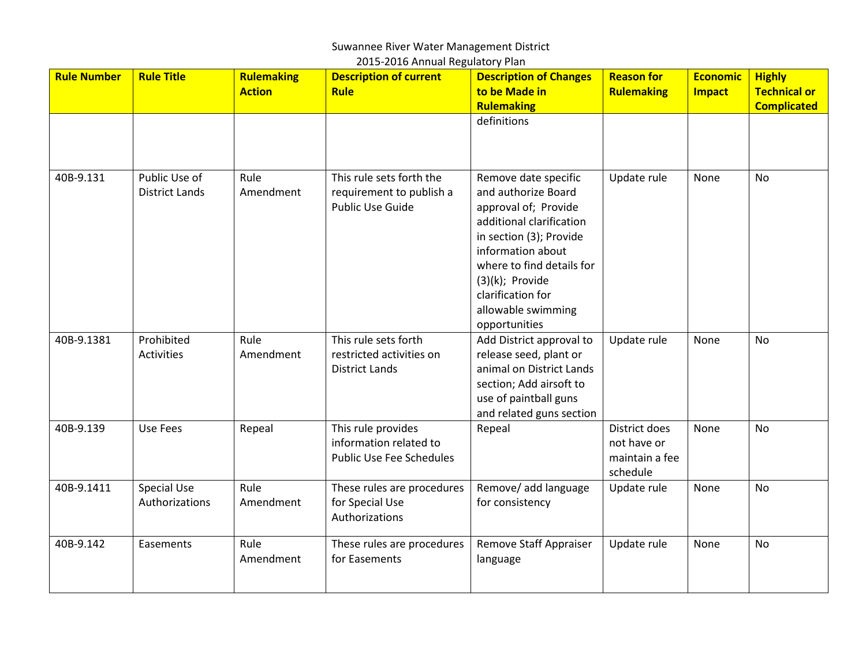### Suwannee River Water Management District 2015-2016 Annual Regulatory Plan

| <b>Rule Number</b> | <b>Rule Title</b>                      | <b>Rulemaking</b><br><b>Action</b> | <b>Description of current</b><br><b>Rule</b>                                    | <b>Description of Changes</b><br>to be Made in<br><b>Rulemaking</b><br>definitions                                                                                                                                                                             | <b>Reason for</b><br>Rulemaking                            | <b>Economic</b><br><b>Impact</b> | <b>Highly</b><br><b>Technical or</b><br><b>Complicated</b> |
|--------------------|----------------------------------------|------------------------------------|---------------------------------------------------------------------------------|----------------------------------------------------------------------------------------------------------------------------------------------------------------------------------------------------------------------------------------------------------------|------------------------------------------------------------|----------------------------------|------------------------------------------------------------|
|                    |                                        |                                    |                                                                                 |                                                                                                                                                                                                                                                                |                                                            |                                  |                                                            |
| 40B-9.131          | Public Use of<br><b>District Lands</b> | Rule<br>Amendment                  | This rule sets forth the<br>requirement to publish a<br><b>Public Use Guide</b> | Remove date specific<br>and authorize Board<br>approval of; Provide<br>additional clarification<br>in section (3); Provide<br>information about<br>where to find details for<br>$(3)(k)$ ; Provide<br>clarification for<br>allowable swimming<br>opportunities | Update rule                                                | None                             | <b>No</b>                                                  |
| 40B-9.1381         | Prohibited<br><b>Activities</b>        | Rule<br>Amendment                  | This rule sets forth<br>restricted activities on<br><b>District Lands</b>       | Add District approval to<br>release seed, plant or<br>animal on District Lands<br>section; Add airsoft to<br>use of paintball guns<br>and related guns section                                                                                                 | Update rule                                                | None                             | <b>No</b>                                                  |
| 40B-9.139          | Use Fees                               | Repeal                             | This rule provides<br>information related to<br><b>Public Use Fee Schedules</b> | Repeal                                                                                                                                                                                                                                                         | District does<br>not have or<br>maintain a fee<br>schedule | None                             | No                                                         |
| 40B-9.1411         | <b>Special Use</b><br>Authorizations   | Rule<br>Amendment                  | These rules are procedures<br>for Special Use<br>Authorizations                 | Remove/ add language<br>for consistency                                                                                                                                                                                                                        | Update rule                                                | None                             | <b>No</b>                                                  |
| 40B-9.142          | Easements                              | Rule<br>Amendment                  | These rules are procedures<br>for Easements                                     | Remove Staff Appraiser<br>language                                                                                                                                                                                                                             | Update rule                                                | None                             | No                                                         |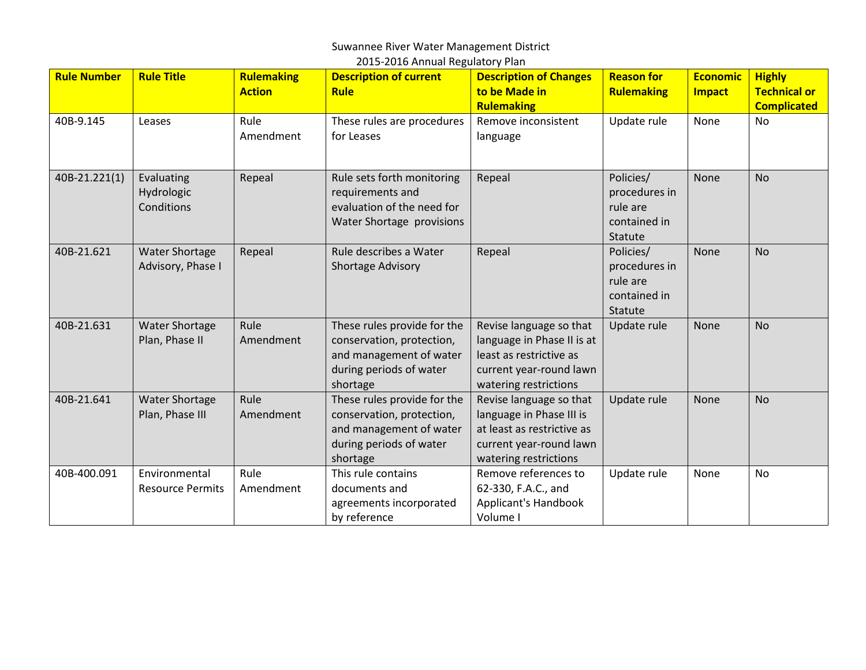### Suwannee River Water Management District 2015-2016 Annual Regulatory Plan

| <b>Rule Number</b> | <b>Rule Title</b>       | <b>Rulemaking</b> | <b>Description of current</b> | <b>Description of Changes</b> | <b>Reason for</b> | <b>Economic</b> | <b>Highly</b>       |
|--------------------|-------------------------|-------------------|-------------------------------|-------------------------------|-------------------|-----------------|---------------------|
|                    |                         | <b>Action</b>     | <b>Rule</b>                   | to be Made in                 | <b>Rulemaking</b> | <b>Impact</b>   | <b>Technical or</b> |
|                    |                         |                   |                               | <b>Rulemaking</b>             |                   |                 | <b>Complicated</b>  |
| 40B-9.145          | Leases                  | Rule              | These rules are procedures    | Remove inconsistent           | Update rule       | None            | No                  |
|                    |                         | Amendment         | for Leases                    | language                      |                   |                 |                     |
|                    |                         |                   |                               |                               |                   |                 |                     |
|                    |                         |                   |                               |                               |                   |                 |                     |
| 40B-21.221(1)      | Evaluating              | Repeal            | Rule sets forth monitoring    | Repeal                        | Policies/         | None            | <b>No</b>           |
|                    | Hydrologic              |                   | requirements and              |                               | procedures in     |                 |                     |
|                    | Conditions              |                   | evaluation of the need for    |                               | rule are          |                 |                     |
|                    |                         |                   | Water Shortage provisions     |                               | contained in      |                 |                     |
|                    |                         |                   |                               |                               | Statute           |                 |                     |
| 40B-21.621         | <b>Water Shortage</b>   | Repeal            | Rule describes a Water        | Repeal                        | Policies/         | None            | <b>No</b>           |
|                    | Advisory, Phase I       |                   | Shortage Advisory             |                               | procedures in     |                 |                     |
|                    |                         |                   |                               |                               | rule are          |                 |                     |
|                    |                         |                   |                               |                               | contained in      |                 |                     |
|                    |                         |                   |                               |                               | Statute           |                 |                     |
| 40B-21.631         | <b>Water Shortage</b>   | Rule              | These rules provide for the   | Revise language so that       | Update rule       | None            | <b>No</b>           |
|                    | Plan, Phase II          | Amendment         | conservation, protection,     | language in Phase II is at    |                   |                 |                     |
|                    |                         |                   | and management of water       | least as restrictive as       |                   |                 |                     |
|                    |                         |                   | during periods of water       | current year-round lawn       |                   |                 |                     |
|                    |                         |                   | shortage                      | watering restrictions         |                   |                 |                     |
| 40B-21.641         | <b>Water Shortage</b>   | Rule              | These rules provide for the   | Revise language so that       | Update rule       | None            | <b>No</b>           |
|                    | Plan, Phase III         | Amendment         | conservation, protection,     | language in Phase III is      |                   |                 |                     |
|                    |                         |                   | and management of water       | at least as restrictive as    |                   |                 |                     |
|                    |                         |                   | during periods of water       | current year-round lawn       |                   |                 |                     |
|                    |                         |                   | shortage                      | watering restrictions         |                   |                 |                     |
| 40B-400.091        | Environmental           | Rule              | This rule contains            | Remove references to          | Update rule       | None            | <b>No</b>           |
|                    | <b>Resource Permits</b> | Amendment         | documents and                 | 62-330, F.A.C., and           |                   |                 |                     |
|                    |                         |                   | agreements incorporated       | Applicant's Handbook          |                   |                 |                     |
|                    |                         |                   | by reference                  | Volume I                      |                   |                 |                     |